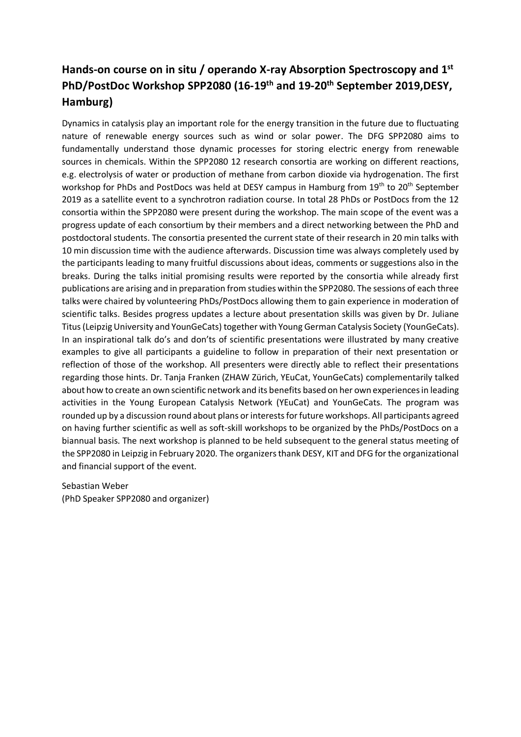## **Hands-on course on in situ / operando X-ray Absorption Spectroscopy and 1 st PhD/PostDoc Workshop SPP2080 (16-19th and 19-20th September 2019,DESY, Hamburg)**

Dynamics in catalysis play an important role for the energy transition in the future due to fluctuating nature of renewable energy sources such as wind or solar power. The DFG SPP2080 aims to fundamentally understand those dynamic processes for storing electric energy from renewable sources in chemicals. Within the SPP2080 12 research consortia are working on different reactions, e.g. electrolysis of water or production of methane from carbon dioxide via hydrogenation. The first workshop for PhDs and PostDocs was held at DESY campus in Hamburg from 19<sup>th</sup> to 20<sup>th</sup> September 2019 as a satellite event to a synchrotron radiation course. In total 28 PhDs or PostDocs from the 12 consortia within the SPP2080 were present during the workshop. The main scope of the event was a progress update of each consortium by their members and a direct networking between the PhD and postdoctoral students. The consortia presented the current state of their research in 20 min talks with 10 min discussion time with the audience afterwards. Discussion time was always completely used by the participants leading to many fruitful discussions about ideas, comments or suggestions also in the breaks. During the talks initial promising results were reported by the consortia while already first publications are arising and in preparation from studies within the SPP2080. The sessions of each three talks were chaired by volunteering PhDs/PostDocs allowing them to gain experience in moderation of scientific talks. Besides progress updates a lecture about presentation skills was given by Dr. Juliane Titus (Leipzig University and YounGeCats) together with Young German Catalysis Society (YounGeCats). In an inspirational talk do's and don'ts of scientific presentations were illustrated by many creative examples to give all participants a guideline to follow in preparation of their next presentation or reflection of those of the workshop. All presenters were directly able to reflect their presentations regarding those hints. Dr. Tanja Franken (ZHAW Zürich, YEuCat, YounGeCats) complementarily talked about how to create an own scientific network and its benefits based on her own experiences in leading activities in the Young European Catalysis Network (YEuCat) and YounGeCats. The program was rounded up by a discussion round about plans or interests for future workshops. All participants agreed on having further scientific as well as soft-skill workshops to be organized by the PhDs/PostDocs on a biannual basis. The next workshop is planned to be held subsequent to the general status meeting of the SPP2080 in Leipzig in February 2020. The organizers thank DESY, KIT and DFG for the organizational and financial support of the event.

Sebastian Weber (PhD Speaker SPP2080 and organizer)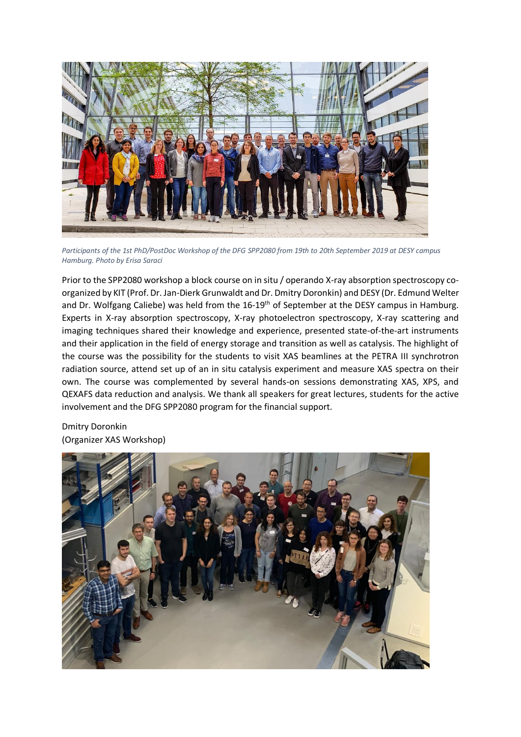

*Participants of the 1st PhD/PostDoc Workshop of the DFG SPP2080 from 19th to 20th September 2019 at DESY campus Hamburg. Photo by Erisa Saraci*

Prior to the SPP2080 workshop a block course on in situ / operando X-ray absorption spectroscopy coorganized by KIT (Prof. Dr. Jan-Dierk Grunwaldt and Dr. Dmitry Doronkin) and DESY (Dr. Edmund Welter and Dr. Wolfgang Caliebe) was held from the 16-19<sup>th</sup> of September at the DESY campus in Hamburg. Experts in X-ray absorption spectroscopy, X-ray photoelectron spectroscopy, X-ray scattering and imaging techniques shared their knowledge and experience, presented state-of-the-art instruments and their application in the field of energy storage and transition as well as catalysis. The highlight of the course was the possibility for the students to visit XAS beamlines at the PETRA III synchrotron radiation source, attend set up of an in situ catalysis experiment and measure XAS spectra on their own. The course was complemented by several hands-on sessions demonstrating XAS, XPS, and QEXAFS data reduction and analysis. We thank all speakers for great lectures, students for the active involvement and the DFG SPP2080 program for the financial support.

Dmitry Doronkin (Organizer XAS Workshop)